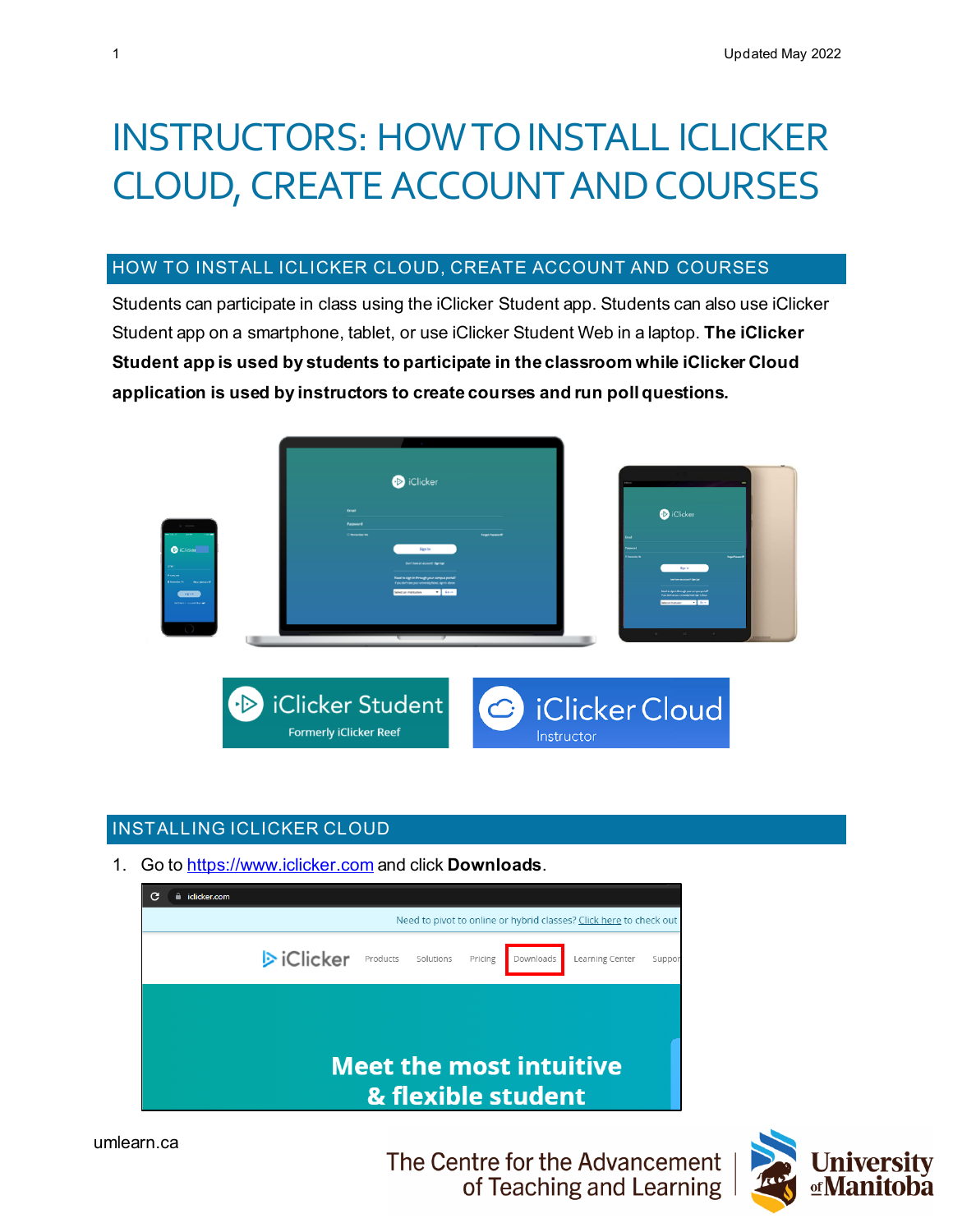# INSTRUCTORS: HOW TO INSTALL ICLICKER CLOUD, CREATE ACCOUNT AND COURSES

#### HOW TO INSTALL ICLICKER CLOUD, CREATE ACCOUNT AND COURSES

Students can participate in class using the iClicker Student app. Students can also use iClicker Student app on a smartphone, tablet, or use iClicker Student Web in a laptop. **The iClicker Student app is used by students to participate in the classroom while iClicker Cloud application is used by instructors to create courses and run poll questions.**



## INSTALLING ICLICKER CLOUD

1. Go to [https://www.iclicker.com](https://www.iclicker.com/) and click **Downloads**.



The Centre for the Advancement of Teaching and Learning

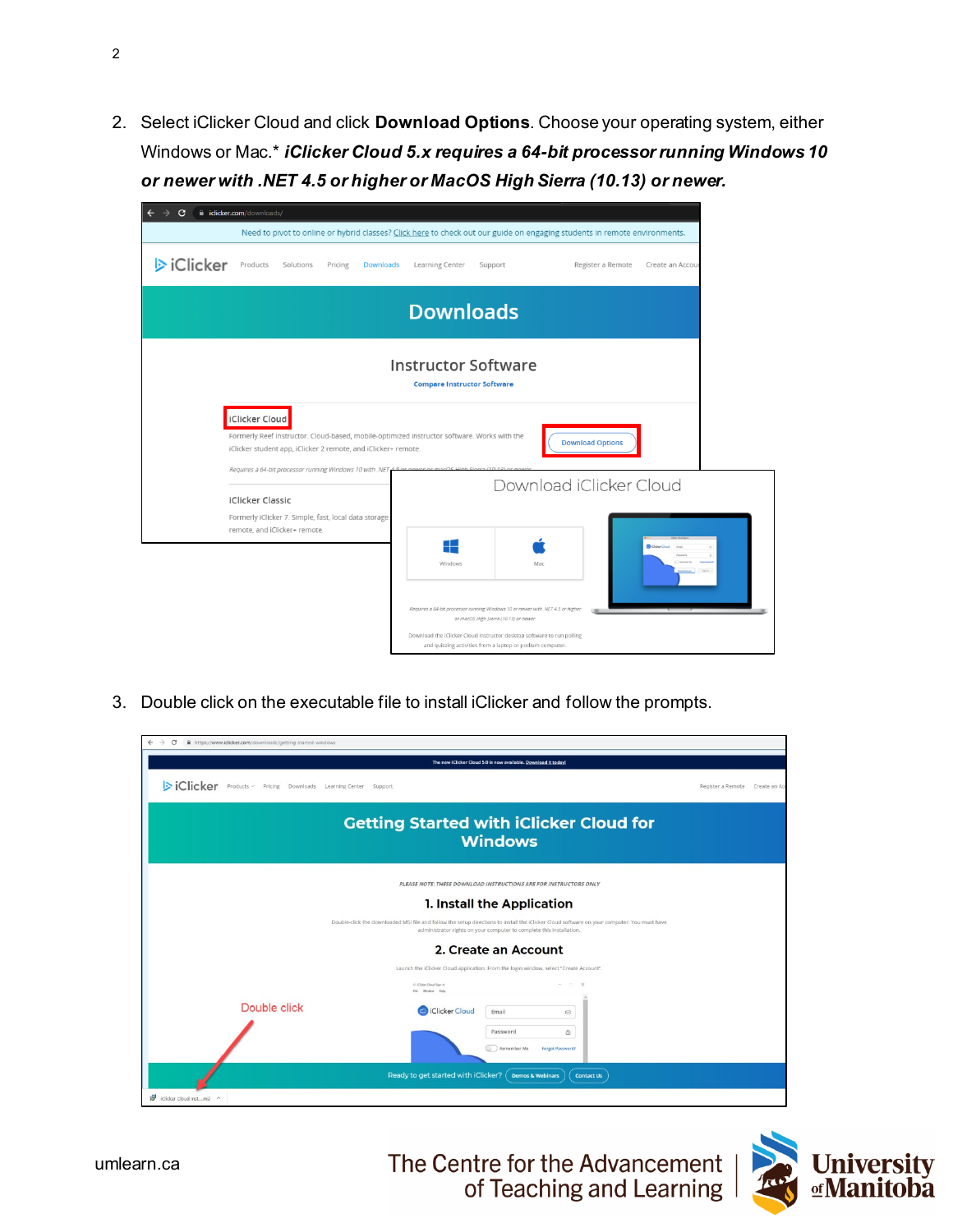2. Select iClicker Cloud and click **Download Options**. Choose your operating system, either Windows or Mac.\* *iClicker Cloud 5.x requires a 64-bit processor running Windows 10 or newer with .NET 4.5 or higher or MacOS High Sierra (10.13) or newer.*

| i iclicker.com/downloads/<br>C                                                                                                                                                                                                                                                           |                                                                  |                                                                                                                                                                                                                                                                  |                         |                              |
|------------------------------------------------------------------------------------------------------------------------------------------------------------------------------------------------------------------------------------------------------------------------------------------|------------------------------------------------------------------|------------------------------------------------------------------------------------------------------------------------------------------------------------------------------------------------------------------------------------------------------------------|-------------------------|------------------------------|
| Need to pivot to online or hybrid classes? Click here to check out our guide on engaging students in remote environments.                                                                                                                                                                |                                                                  |                                                                                                                                                                                                                                                                  |                         |                              |
| <b>D</b> iClicker<br>Products<br>Solutions<br>Pricing<br><b>Downloads</b>                                                                                                                                                                                                                | Learning Center                                                  | Support                                                                                                                                                                                                                                                          | Register a Remote       | Create an Accour             |
|                                                                                                                                                                                                                                                                                          | <b>Downloads</b>                                                 |                                                                                                                                                                                                                                                                  |                         |                              |
|                                                                                                                                                                                                                                                                                          | <b>Instructor Software</b><br><b>Compare Instructor Software</b> |                                                                                                                                                                                                                                                                  |                         |                              |
| iClicker Cloud<br>Formerly Reef Instructor. Cloud-based, mobile-optimized instructor software. Works with the<br>iClicker student app, iClicker 2 remote, and iClicker+ remote.<br>Requires a 64-bit processor running Windows 10 with .NET 4.5 or newer or marOS High Sierra (10.13) or |                                                                  |                                                                                                                                                                                                                                                                  | <b>Download Options</b> |                              |
| iClicker Classic<br>Formerly iClicker 7. Simple, fast, local data storage<br>remote, and iClicker+ remote.                                                                                                                                                                               | Windows                                                          | Mar                                                                                                                                                                                                                                                              | Download iClicker Cloud | <b><i><u>Chicken</u></i></b> |
|                                                                                                                                                                                                                                                                                          |                                                                  | Requires a 64-bit processor running Windows 10 or newer with .NET 4.5 or higher<br>or macOS High Sierra (10.13) or newer.<br>Download the iClicker Cloud instructor desktop software to run polling<br>and quizzing activities from a laptop or podium computer. |                         |                              |

3. Double click on the executable file to install iClicker and follow the prompts.

| The new iClicker Cloud 5.0 is now available. Download it today!                                                                                                                                                                             |              |
|---------------------------------------------------------------------------------------------------------------------------------------------------------------------------------------------------------------------------------------------|--------------|
| <b>D</b> iClicker<br>Products ~ Pricing Downloads Learning Center<br>Support<br>Register a Remote                                                                                                                                           | Create an Ac |
| <b>Getting Started with iClicker Cloud for</b><br><b>Windows</b>                                                                                                                                                                            |              |
| PLEASE NOTE: THESE DOWNLOAD INSTRUCTIONS ARE FOR INSTRUCTORS ONLY                                                                                                                                                                           |              |
| 1. Install the Application                                                                                                                                                                                                                  |              |
| Double-click the downloaded MSI file and follow the setup directions to install the iClicker Cloud software on your computer. You must have<br>administrator rights on your computer to complete this installation.<br>2. Create an Account |              |
| Launch the iClicker Cloud application. From the login window, select "Create Account".                                                                                                                                                      |              |
| <b>COLLEGE</b><br>O Klicker Cloud Sign In<br>$\sim$<br>$\mathbf{x}$<br>File Window Help                                                                                                                                                     |              |
| Double click<br>C iClicker Cloud<br>Email<br>$\boxdot$                                                                                                                                                                                      |              |
| ô<br>Password<br>Remember Me<br>Forgot Password?                                                                                                                                                                                            |              |
| Ready to get started with iClicker?<br><b>Demos &amp; Webinars</b><br><b>Contact Us</b><br>ß<br>iClicker Cloud Instmsi ^                                                                                                                    |              |



[umlearn.ca](https://universityofmanitoba.desire2learn.com/d2l/home)

The Centre for the Advancement<br>of Teaching and Learning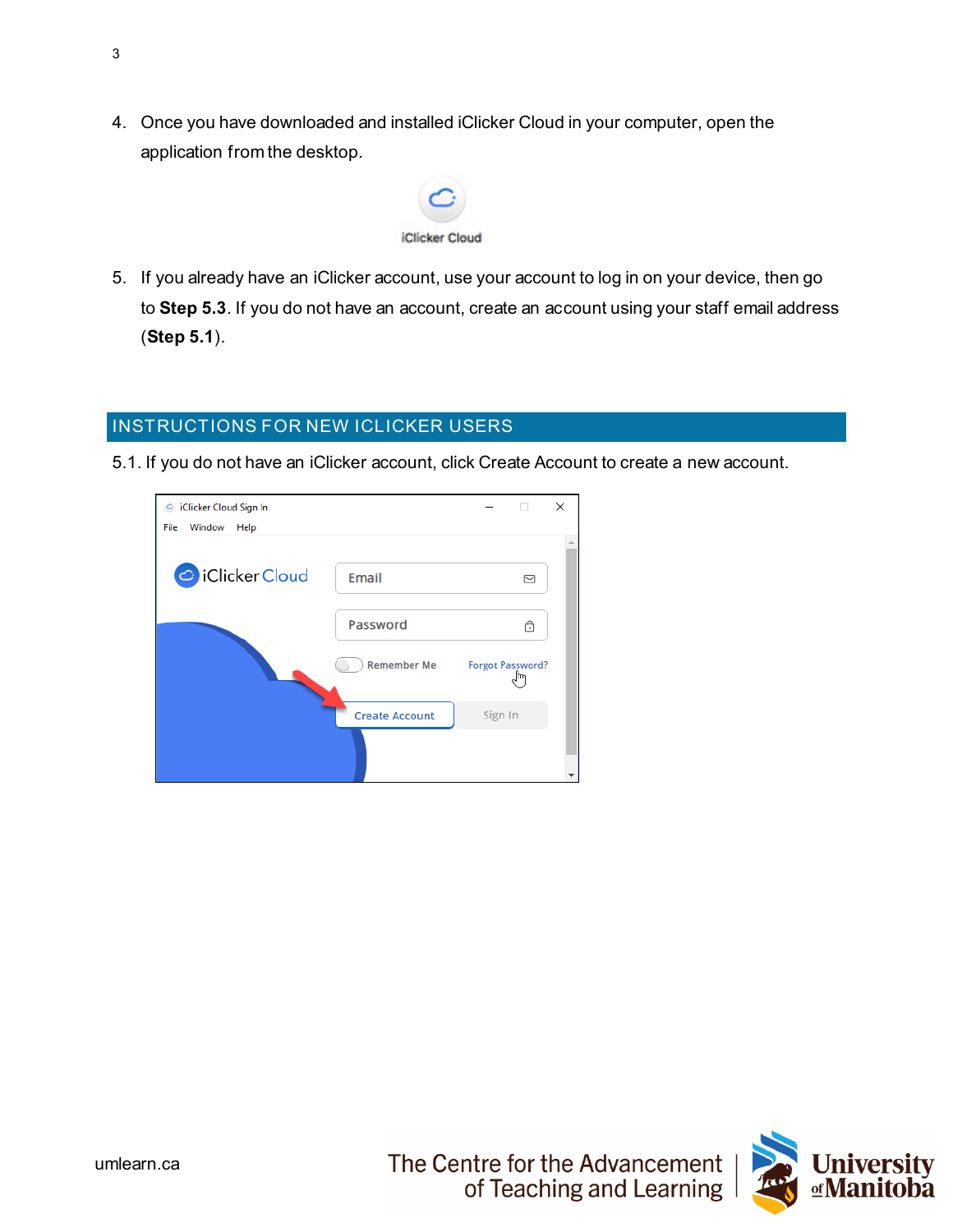4. Once you have downloaded and installed iClicker Cloud in your computer, open the application from the desktop.



5. If you already have an iClicker account, use your account to log in on your device, then go to **Step 5.3**. If you do not have an account, create an account using your staff email address (**Step 5.1**).

### INSTRUCTIONS FOR NEW ICLICKER USERS

5.1. If you do not have an iClicker account, click Create Account to create a new account.

| C iClicker Cloud Sign In<br>File<br>Window<br>Help |                       |                               | × |
|----------------------------------------------------|-----------------------|-------------------------------|---|
| C iClicker Cloud                                   | Email                 | ☑                             |   |
|                                                    | Password              | ᠿ                             |   |
|                                                    | <b>Remember Me</b>    | <b>Forgot Password?</b><br> m |   |
|                                                    | <b>Create Account</b> | Sign In                       |   |
|                                                    |                       |                               |   |

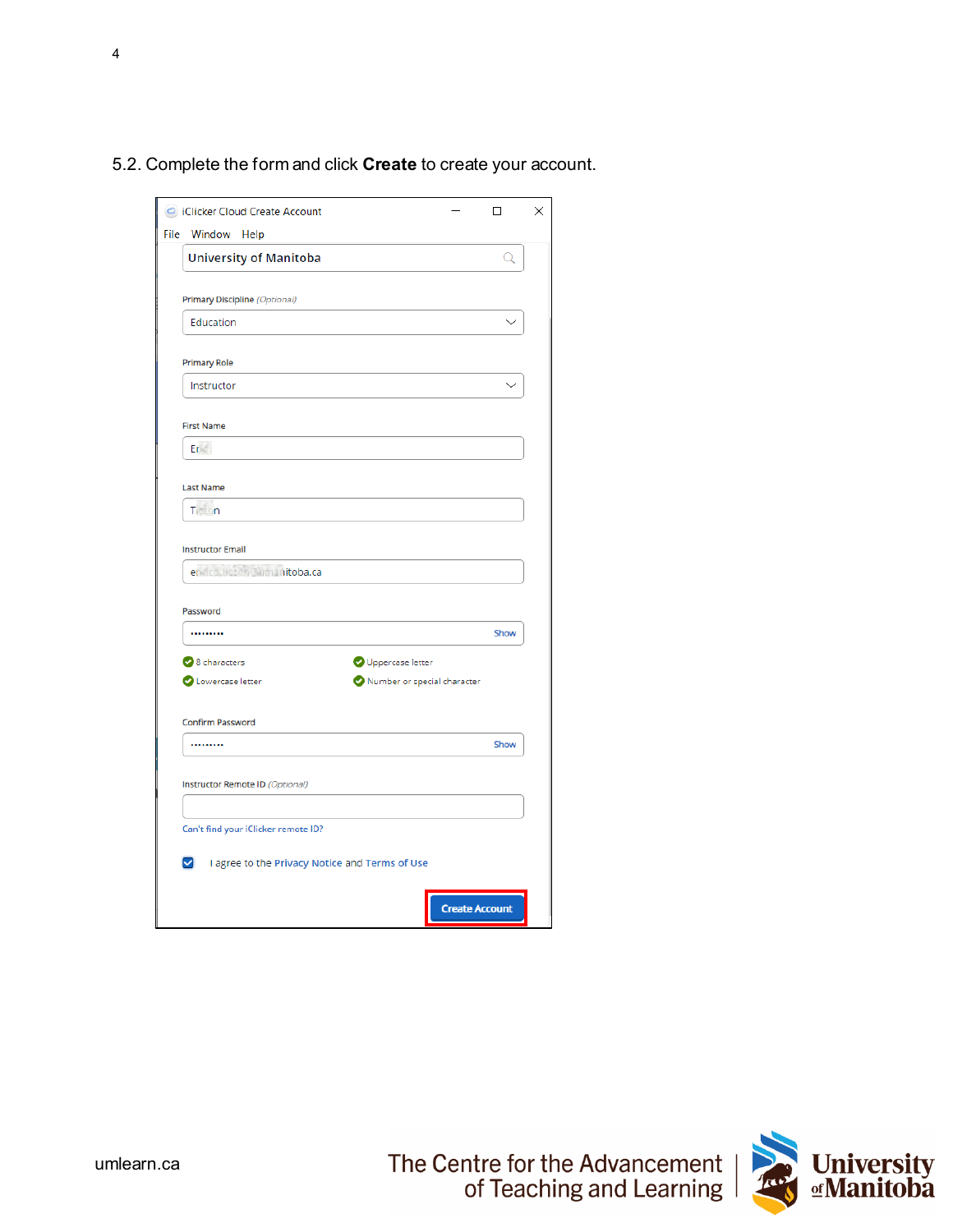| iClicker Cloud Create Account<br>Window<br>Help     |                                                 |      |
|-----------------------------------------------------|-------------------------------------------------|------|
| <b>University of Manitoba</b>                       |                                                 | Q    |
| Primary Discipline (Optional)                       |                                                 |      |
| Education                                           |                                                 |      |
| <b>Primary Role</b>                                 |                                                 |      |
| Instructor                                          |                                                 |      |
| <b>First Name</b>                                   |                                                 |      |
| Eric I                                              |                                                 |      |
| <b>Last Name</b>                                    |                                                 |      |
| Ticzon                                              |                                                 |      |
| <b>Instructor Email</b>                             |                                                 |      |
| enrico.ticzon@limanitoba.ca                         |                                                 |      |
| Password                                            |                                                 |      |
|                                                     |                                                 | Show |
| 8 characters<br>Lowercase letter                    | Uppercase letter<br>Number or special character |      |
| <b>Confirm Password</b>                             |                                                 |      |
|                                                     |                                                 | Show |
| Instructor Remote ID (Optional)                     |                                                 |      |
| Can't find your iClicker remote ID?                 |                                                 |      |
| I agree to the Privacy Notice and Terms of Use<br>☑ |                                                 |      |
|                                                     |                                                 |      |

5.2. Complete the form and click **Create** to create your account.



[umlearn.ca](https://universityofmanitoba.desire2learn.com/d2l/home)

The Centre for the Advancement |<br>of Teaching and Learning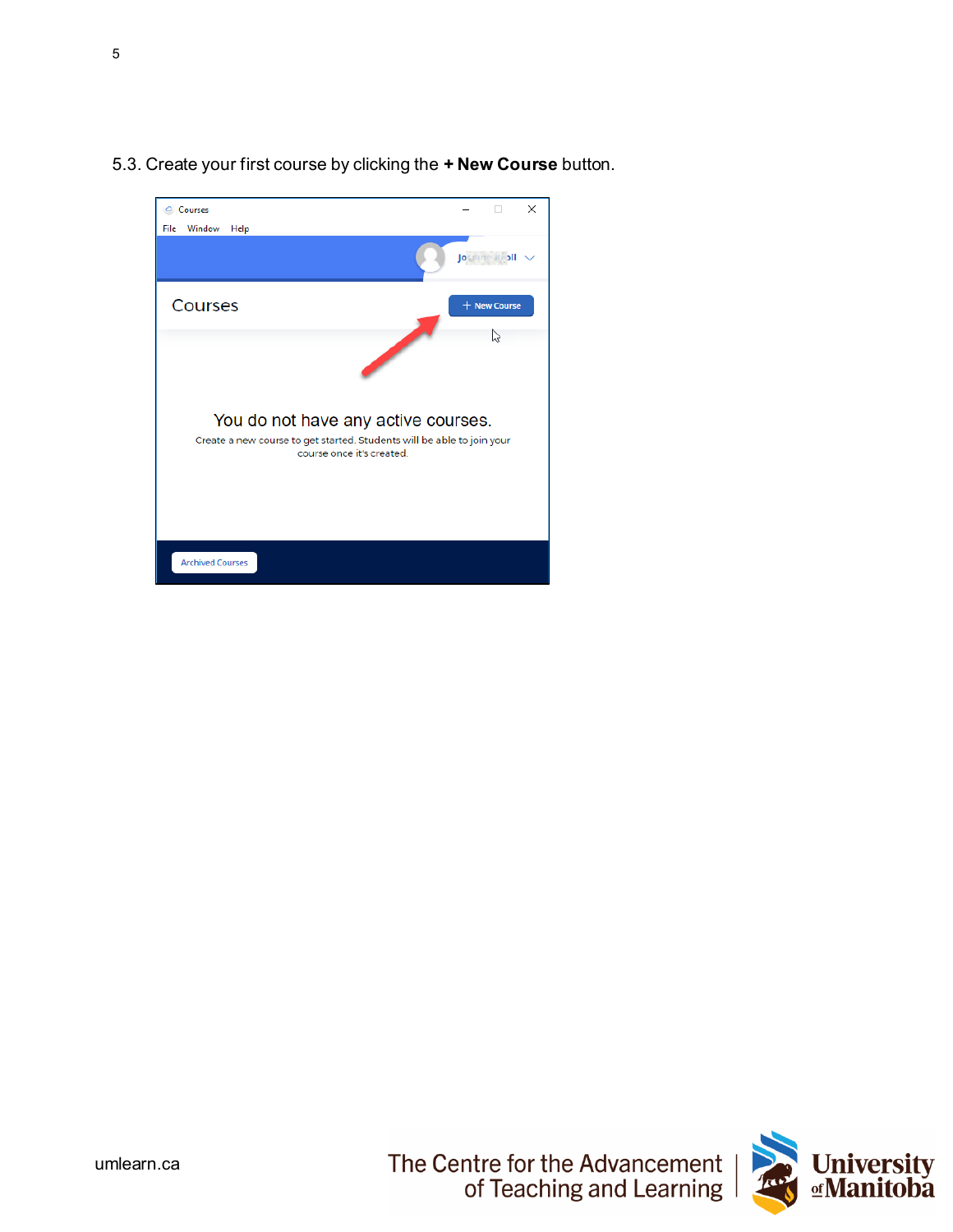

5.3. Create your first course by clicking the **+ New Course** button.

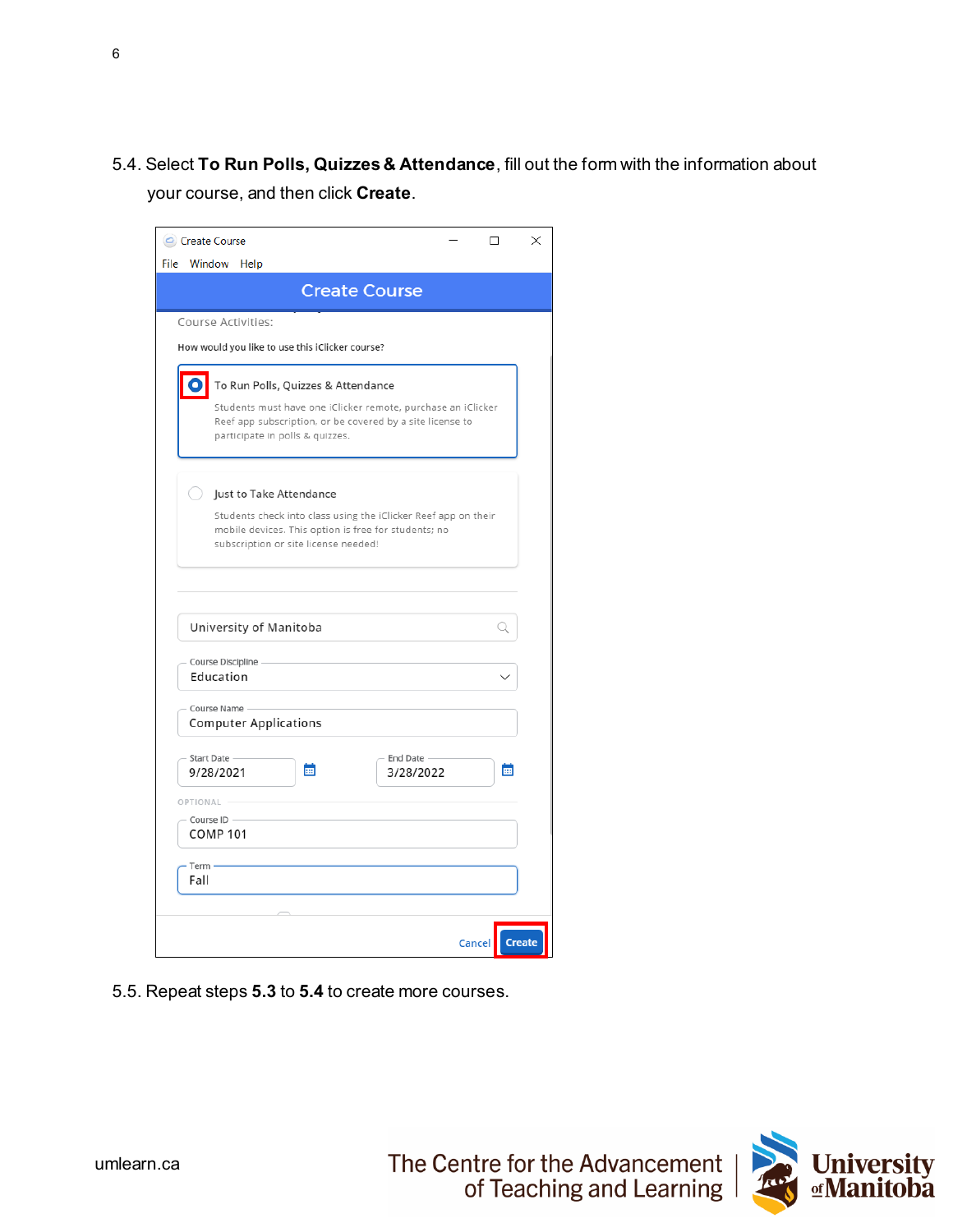5.4. Select **To Run Polls, Quizzes & Attendance**, fill out the form with the information about your course, and then click **Create**.

| Create Course<br>File Window Help                                                                                                                                                                  | $\Box$ | ×             |
|----------------------------------------------------------------------------------------------------------------------------------------------------------------------------------------------------|--------|---------------|
| <b>Create Course</b>                                                                                                                                                                               |        |               |
| Course Activities:<br>How would you like to use this iClicker course?                                                                                                                              |        |               |
| To Run Polls, Quizzes & Attendance<br>Students must have one iClicker remote, purchase an iClicker<br>Reef app subscription, or be covered by a site license to<br>participate in polls & quizzes. |        |               |
| Just to Take Attendance<br>Students check into class using the iClicker Reef app on their<br>mobile devices. This option is free for students; no<br>subscription or site license needed!          |        |               |
| University of Manitoba<br>Course Discipline                                                                                                                                                        |        |               |
| Education<br>Course Name -                                                                                                                                                                         |        |               |
| <b>Computer Applications</b><br>Start Date<br>End Date -<br>m.<br>9/28/2021<br>3/28/2022                                                                                                           | m.     |               |
| OPTIONAL<br>Course ID -<br><b>COMP 101</b><br>Term -                                                                                                                                               |        |               |
| Fall                                                                                                                                                                                               |        |               |
|                                                                                                                                                                                                    | Cancel | <b>Create</b> |

5.5. Repeat steps **5.3** to **5.4** to create more courses.